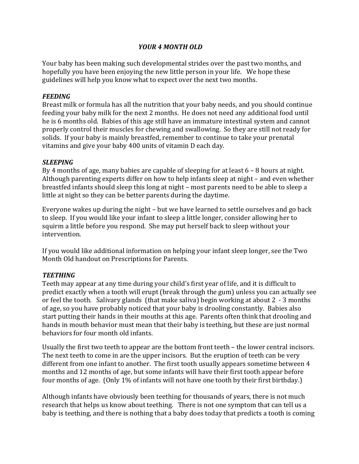## *YOUR 4 MONTH OLD*

Your baby has been making such developmental strides over the past two months, and hopefully you have been enjoying the new little person in your life. We hope these guidelines will help you know what to expect over the next two months.

### *FEEDING*

Breast milk or formula has all the nutrition that your baby needs, and you should continue feeding your baby milk for the next 2 months. He does not need any additional food until he is 6 months old. Babies of this age still have an immature intestinal system and cannot properly control their muscles for chewing and swallowing. So they are still not ready for solids. If your baby is mainly breastfed, remember to continue to take your prenatal vitamins and give your baby 400 units of vitamin D each day.

## *SLEEPING*

By 4 months of age, many babies are capable of sleeping for at least  $6 - 8$  hours at night. Although parenting experts differ on how to help infants sleep at night  $-$  and even whether breastfed infants should sleep this long at night – most parents need to be able to sleep a little at night so they can be better parents during the daytime.

Everyone wakes up during the night  $-$  but we have learned to settle ourselves and go back to sleep. If you would like your infant to sleep a little longer, consider allowing her to squirm a little before you respond. She may put herself back to sleep without your intervention. 

If you would like additional information on helping your infant sleep longer, see the Two Month Old handout on Prescriptions for Parents.

## *TEETHING*

Teeth may appear at any time during your child's first year of life, and it is difficult to predict exactly when a tooth will erupt (break through the gum) unless you can actually see or feel the tooth. Salivary glands (that make saliva) begin working at about  $2 - 3$  months of age, so you have probably noticed that your baby is drooling constantly. Babies also start putting their hands in their mouths at this age. Parents often think that drooling and hands in mouth behavior must mean that their baby is teething, but these are just normal behaviors for four month old infants.

Usually the first two teeth to appear are the bottom front teeth – the lower central incisors. The next teeth to come in are the upper incisors. But the eruption of teeth can be very different from one infant to another. The first tooth usually appears sometime between 4 months and 12 months of age, but some infants will have their first tooth appear before four months of age. (Only 1% of infants will not have one tooth by their first birthday.)

Although infants have obviously been teething for thousands of years, there is not much research that helps us know about teething. There is not one symptom that can tell us a baby is teething, and there is nothing that a baby does today that predicts a tooth is coming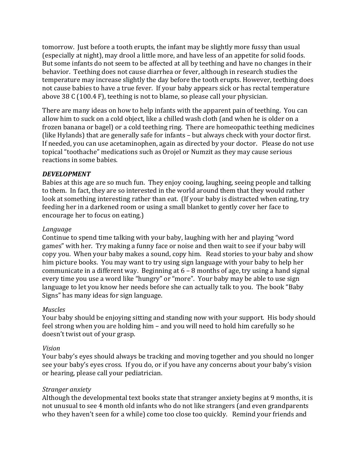tomorrow. Just before a tooth erupts, the infant may be slightly more fussy than usual (especially at night), may drool a little more, and have less of an appetite for solid foods. But some infants do not seem to be affected at all by teething and have no changes in their behavior. Teething does not cause diarrhea or fever, although in research studies the temperature may increase slightly the day before the tooth erupts. However, teething does not cause babies to have a true fever. If your baby appears sick or has rectal temperature above  $38\text{ C}$  (100.4 F), teething is not to blame, so please call your physician.

There are many ideas on how to help infants with the apparent pain of teething. You can allow him to suck on a cold object, like a chilled wash cloth (and when he is older on a frozen banana or bagel) or a cold teething ring. There are homeopathic teething medicines (like Hylands) that are generally safe for infants - but always check with your doctor first. If needed, you can use acetaminophen, again as directed by your doctor. Please do not use topical "toothache" medications such as Orojel or Numzit as they may cause serious reactions in some babies.

### *DEVELOPMENT*

Babies at this age are so much fun. They enjoy cooing, laughing, seeing people and talking to them. In fact, they are so interested in the world around them that they would rather look at something interesting rather than eat. (If your baby is distracted when eating, try feeding her in a darkened room or using a small blanket to gently cover her face to encourage her to focus on eating.)

#### *Language*

Continue to spend time talking with your baby, laughing with her and playing "word" games" with her. Try making a funny face or noise and then wait to see if your baby will copy you. When your baby makes a sound, copy him. Read stories to your baby and show him picture books. You may want to try using sign language with your baby to help her communicate in a different way. Beginning at  $6 - 8$  months of age, try using a hand signal every time you use a word like "hungry" or "more". Your baby may be able to use sign language to let you know her needs before she can actually talk to you. The book "Baby Signs" has many ideas for sign language.

#### *Muscles*

Your baby should be enjoying sitting and standing now with your support. His body should feel strong when you are holding him – and you will need to hold him carefully so he doesn't twist out of your grasp.

## *Vision*

Your baby's eyes should always be tracking and moving together and you should no longer see your baby's eyes cross. If you do, or if you have any concerns about your baby's vision or hearing, please call your pediatrician.

## *Stranger anxiety*

Although the developmental text books state that stranger anxiety begins at 9 months, it is not unusual to see 4 month old infants who do not like strangers (and even grandparents who they haven't seen for a while) come too close too quickly. Remind your friends and